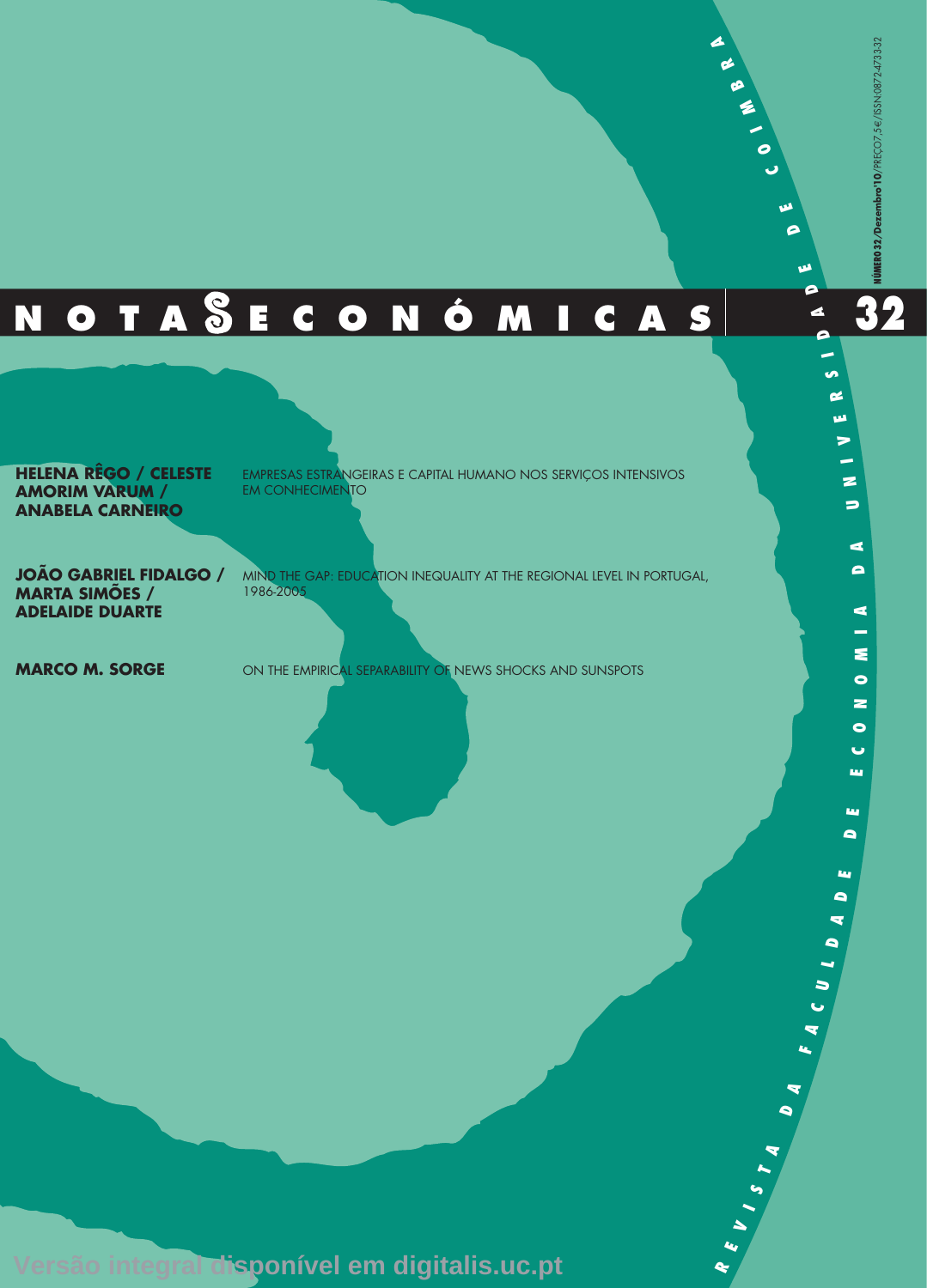**RE**

**V I S**

 $\blacktriangle$ **A**

 $\bullet$ **AF**  $\overline{\mathbf{r}}$ **C** $\Rightarrow$  **L D A D**

**E D E E C O**

Ŀщ

tag.  $\blacksquare$ 

**NO**

 $\bullet$  $\bullet$ ш,

**M I A**

**DA**

 $\Rightarrow$ 

**N I V E R**

**S I D**

**A D E**

**D E C**

**O I M**

**B R A**

# **<sup>32</sup> 32 N O T A E C O N Ó M I C A S**

**HELENA RÊGO / CELESTE AMORIM VARUM / ANABELA CARNEIRO**

EMPRESAS ESTRANGEIRAS E CAPITAL HUMANO NOS SERVIÇOS INTENSIVOS EM CONHECIMENTO

**JOÃO GABRIEL FIDALGO / MARTA SIMÕES / ADELAIDE DUARTE**

MIND THE GAP: EDUCATION INEQUALITY AT THE REGIONAL LEVEL IN PORTUGAL, 1986-2005

**MARCO M. SORGE** ON THE EMPIRICAL SEPARABILITY OF NEWS SHOCKS AND SUNSPOTS

**Versão integral disponível em digitalis.uc.pt**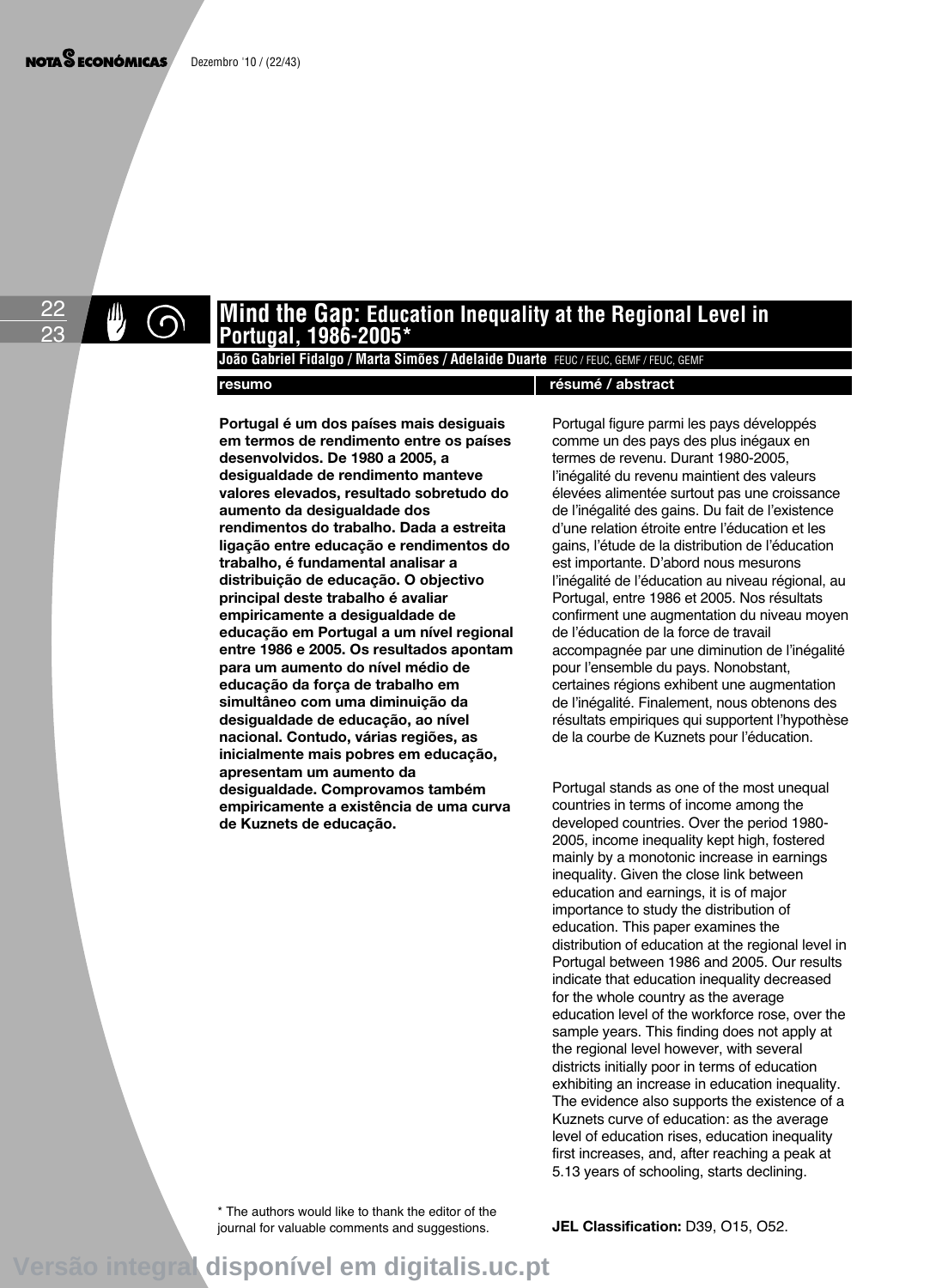22 23

# **Mind the Gap: Education Inequality at the Regional Level in Portugal, 1986-2005\***

João Gabriel Fidalgo / Marta Simões / Adelaide Duarte FEUC / FEUC, GEMF / FEUC, GEMF

#### **resumo résumé / abstract**

**Portugal é um dos países mais desiguais em termos de rendimento entre os países desenvolvidos. De 1980 a 2005, a desigualdade de rendimento manteve valores elevados, resultado sobretudo do aumento da desigualdade dos rendimentos do trabalho. Dada a estreita ligação entre educação e rendimentos do trabalho, é fundamental analisar a distribuição de educação. O objectivo principal deste trabalho é avaliar empiricamente a desigualdade de educação em Portugal a um nível regional entre 1986 e 2005. Os resultados apontam para um aumento do nível médio de educação da força de trabalho em simultâneo com uma diminuição da desigualdade de educação, ao nível nacional. Contudo, várias regiões, as inicialmente mais pobres em educação, apresentam um aumento da desigualdade. Comprovamos também empiricamente a existência de uma curva de Kuznets de educação.**

Portugal figure parmi les pays développés comme un des pays des plus inégaux en termes de revenu. Durant 1980-2005, l'inégalité du revenu maintient des valeurs élevées alimentée surtout pas une croissance de l'inégalité des gains. Du fait de l'existence d'une relation étroite entre l'éducation et les gains, l'étude de la distribution de l'éducation est importante. D'abord nous mesurons l'inégalité de l'éducation au niveau régional, au Portugal, entre 1986 et 2005. Nos résultats confirment une augmentation du niveau moyen de l'éducation de la force de travail accompagnée par une diminution de l'inégalité pour l'ensemble du pays. Nonobstant, certaines régions exhibent une augmentation de l'inégalité. Finalement, nous obtenons des résultats empiriques qui supportent l'hypothèse de la courbe de Kuznets pour l'éducation.

Portugal stands as one of the most unequal countries in terms of income among the developed countries. Over the period 1980- 2005, income inequality kept high, fostered mainly by a monotonic increase in earnings inequality. Given the close link between education and earnings, it is of major importance to study the distribution of education. This paper examines the distribution of education at the regional level in Portugal between 1986 and 2005. Our results indicate that education inequality decreased for the whole country as the average education level of the workforce rose, over the sample years. This finding does not apply at the regional level however, with several districts initially poor in terms of education exhibiting an increase in education inequality. The evidence also supports the existence of a Kuznets curve of education: as the average level of education rises, education inequality first increases, and, after reaching a peak at 5.13 years of schooling, starts declining.

\* The authors would like to thank the editor of the journal for valuable comments and suggestions.

**JEL Classification:** D39, O15, O52.